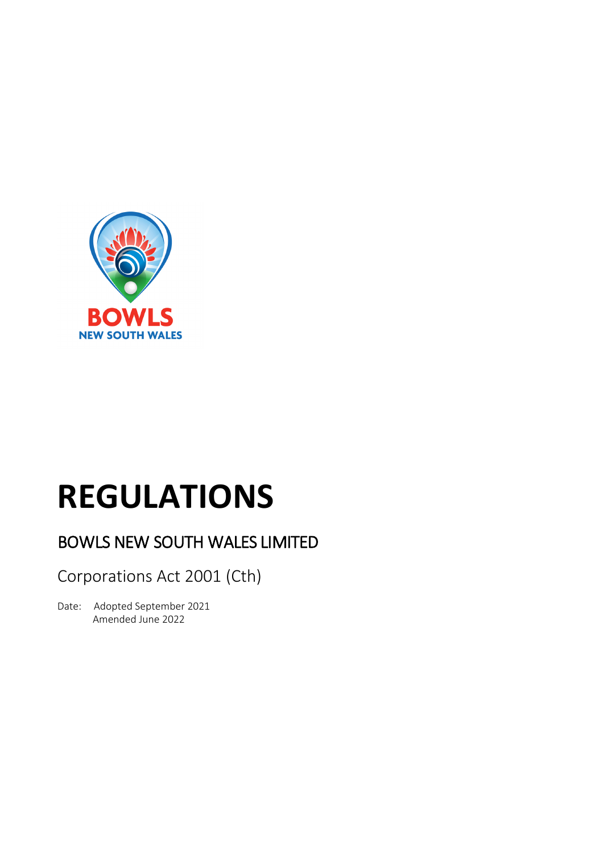

# **REGULATIONS**

## BOWLS NEW SOUTH WALES LIMITED

Corporations Act 2001 (Cth)

Date: Adopted September 2021 Amended June 2022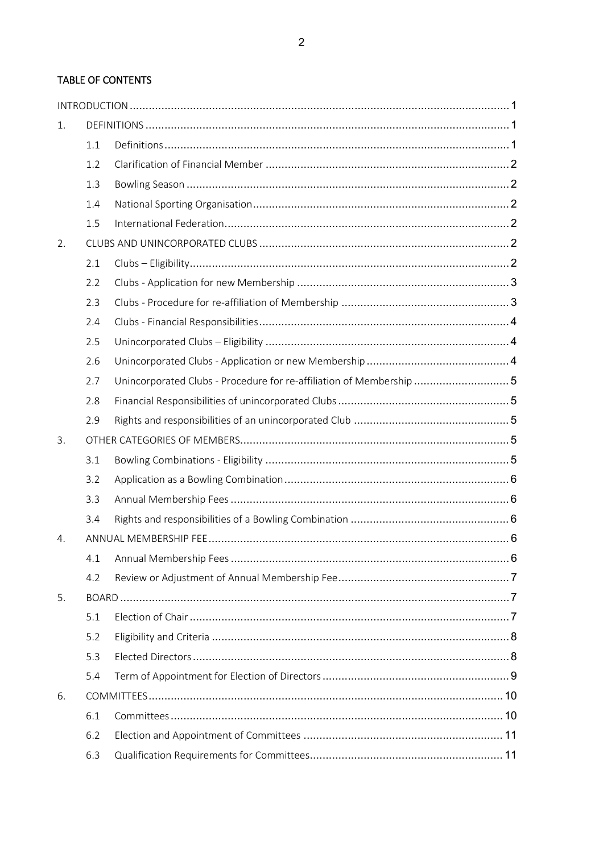### **TABLE OF CONTENTS**

| 1. |     |                                                                      |  |  |
|----|-----|----------------------------------------------------------------------|--|--|
|    | 1.1 |                                                                      |  |  |
|    | 1.2 |                                                                      |  |  |
|    | 1.3 |                                                                      |  |  |
|    | 1.4 |                                                                      |  |  |
|    | 1.5 |                                                                      |  |  |
| 2. |     |                                                                      |  |  |
|    | 2.1 |                                                                      |  |  |
|    | 2.2 |                                                                      |  |  |
|    | 2.3 |                                                                      |  |  |
|    | 2.4 |                                                                      |  |  |
|    | 2.5 |                                                                      |  |  |
|    | 2.6 |                                                                      |  |  |
|    | 2.7 | Unincorporated Clubs - Procedure for re-affiliation of Membership  5 |  |  |
|    | 2.8 |                                                                      |  |  |
|    | 2.9 |                                                                      |  |  |
| 3. |     |                                                                      |  |  |
|    | 3.1 |                                                                      |  |  |
|    | 3.2 |                                                                      |  |  |
|    | 3.3 |                                                                      |  |  |
|    | 3.4 |                                                                      |  |  |
| 4. |     |                                                                      |  |  |
|    | 4.1 |                                                                      |  |  |
|    | 4.2 |                                                                      |  |  |
| 5. |     |                                                                      |  |  |
|    | 5.1 |                                                                      |  |  |
|    | 5.2 |                                                                      |  |  |
|    | 5.3 |                                                                      |  |  |
|    | 5.4 |                                                                      |  |  |
| 6. |     |                                                                      |  |  |
|    | 6.1 |                                                                      |  |  |
|    | 6.2 |                                                                      |  |  |
|    | 6.3 |                                                                      |  |  |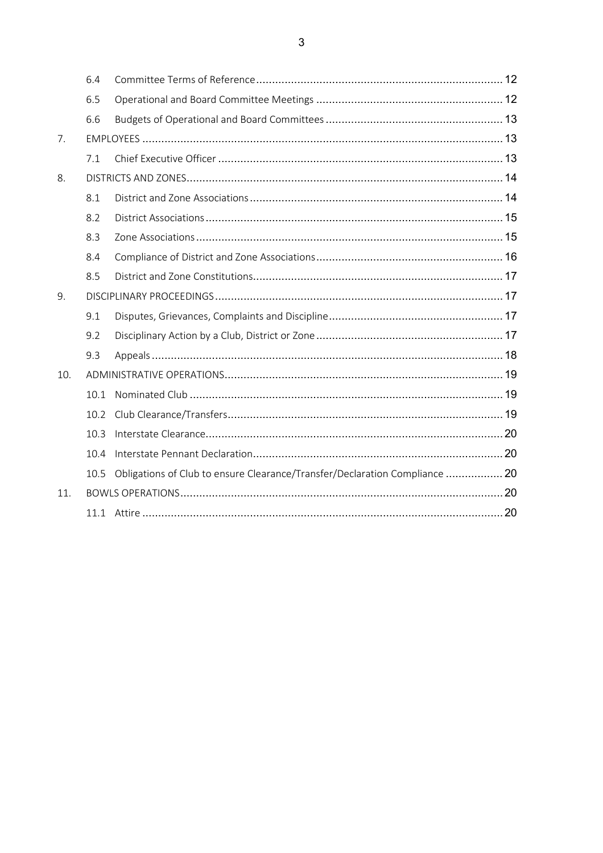|     | 6.4  |                                                                             |  |
|-----|------|-----------------------------------------------------------------------------|--|
|     | 6.5  |                                                                             |  |
|     | 6.6  |                                                                             |  |
| 7.  |      |                                                                             |  |
|     | 7.1  |                                                                             |  |
| 8.  |      |                                                                             |  |
|     | 8.1  |                                                                             |  |
|     | 8.2  |                                                                             |  |
|     | 8.3  |                                                                             |  |
|     | 8.4  |                                                                             |  |
|     | 8.5  |                                                                             |  |
| 9.  |      |                                                                             |  |
|     | 9.1  |                                                                             |  |
|     | 9.2  |                                                                             |  |
|     | 9.3  |                                                                             |  |
| 10. |      |                                                                             |  |
|     | 10.1 |                                                                             |  |
|     | 10.2 |                                                                             |  |
|     | 10.3 |                                                                             |  |
|     | 10.4 |                                                                             |  |
|     | 10.5 | Obligations of Club to ensure Clearance/Transfer/Declaration Compliance  20 |  |
| 11. |      |                                                                             |  |
|     |      |                                                                             |  |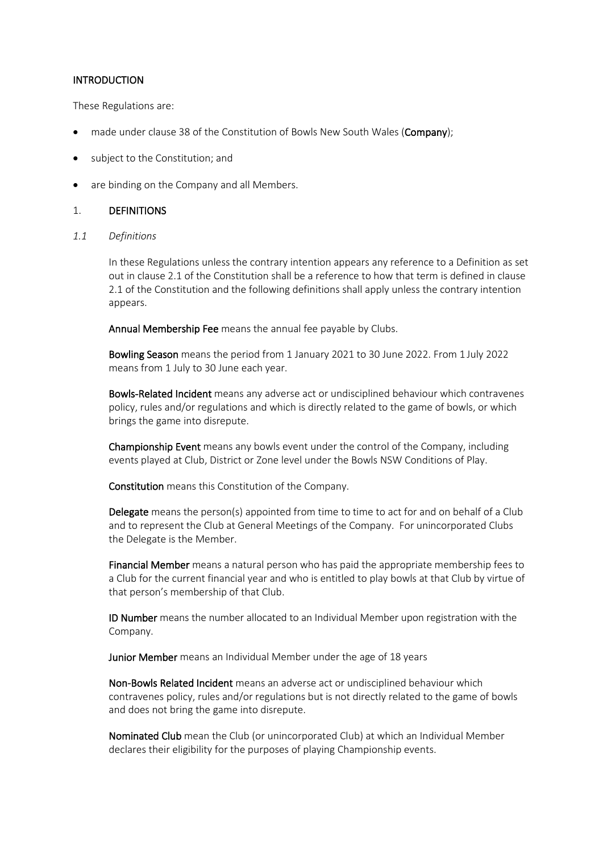#### **INTRODUCTION**

These Regulations are:

- made under clause 38 of the Constitution of Bowls New South Wales (Company);
- subject to the Constitution; and
- are binding on the Company and all Members.

#### 1. DEFINITIONS

*1.1 Definitions*

In these Regulations unless the contrary intention appears any reference to a Definition as set out in clause 2.1 of the Constitution shall be a reference to how that term is defined in clause 2.1 of the Constitution and the following definitions shall apply unless the contrary intention appears.

Annual Membership Fee means the annual fee payable by Clubs.

Bowling Season means the period from 1 January 2021 to 30 June 2022. From 1 July 2022 means from 1 July to 30 June each year.

Bowls-Related Incident means any adverse act or undisciplined behaviour which contravenes policy, rules and/or regulations and which is directly related to the game of bowls, or which brings the game into disrepute.

Championship Event means any bowls event under the control of the Company, including events played at Club, District or Zone level under the Bowls NSW Conditions of Play.

Constitution means this Constitution of the Company.

Delegate means the person(s) appointed from time to time to act for and on behalf of a Club and to represent the Club at General Meetings of the Company. For unincorporated Clubs the Delegate is the Member.

Financial Member means a natural person who has paid the appropriate membership fees to a Club for the current financial year and who is entitled to play bowls at that Club by virtue of that person's membership of that Club.

ID Number means the number allocated to an Individual Member upon registration with the Company.

Junior Member means an Individual Member under the age of 18 years

Non-Bowls Related Incident means an adverse act or undisciplined behaviour which contravenes policy, rules and/or regulations but is not directly related to the game of bowls and does not bring the game into disrepute.

Nominated Club mean the Club (or unincorporated Club) at which an Individual Member declares their eligibility for the purposes of playing Championship events.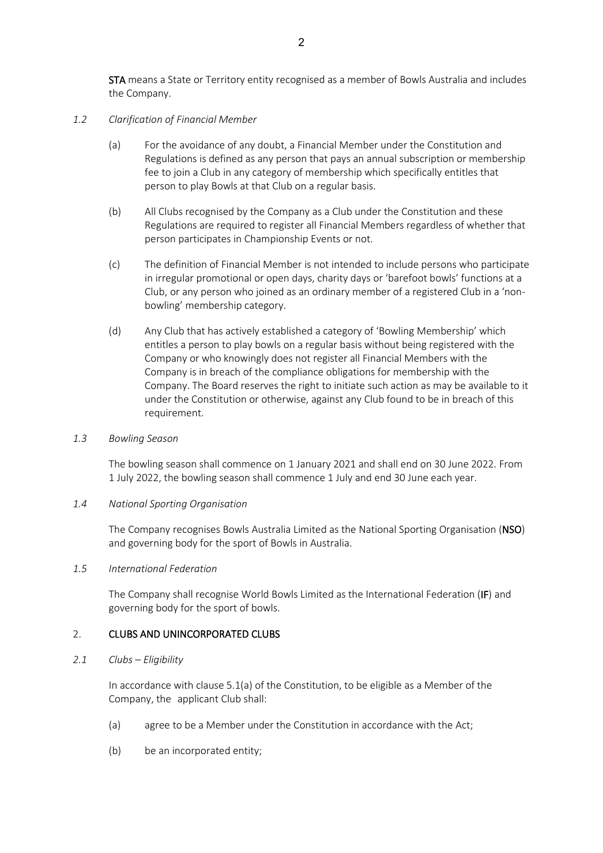STA means a State or Territory entity recognised as a member of Bowls Australia and includes the Company.

#### *1.2 Clarification of Financial Member*

- (a) For the avoidance of any doubt, a Financial Member under the Constitution and Regulations is defined as any person that pays an annual subscription or membership fee to join a Club in any category of membership which specifically entitles that person to play Bowls at that Club on a regular basis.
- (b) All Clubs recognised by the Company as a Club under the Constitution and these Regulations are required to register all Financial Members regardless of whether that person participates in Championship Events or not.
- (c) The definition of Financial Member is not intended to include persons who participate in irregular promotional or open days, charity days or 'barefoot bowls' functions at a Club, or any person who joined as an ordinary member of a registered Club in a 'nonbowling' membership category.
- (d) Any Club that has actively established a category of 'Bowling Membership' which entitles a person to play bowls on a regular basis without being registered with the Company or who knowingly does not register all Financial Members with the Company is in breach of the compliance obligations for membership with the Company. The Board reserves the right to initiate such action as may be available to it under the Constitution or otherwise, against any Club found to be in breach of this requirement.

#### *1.3 Bowling Season*

The bowling season shall commence on 1 January 2021 and shall end on 30 June 2022. From 1 July 2022, the bowling season shall commence 1 July and end 30 June each year.

#### *1.4 National Sporting Organisation*

The Company recognises Bowls Australia Limited as the National Sporting Organisation (NSO) and governing body for the sport of Bowls in Australia.

#### *1.5 International Federation*

The Company shall recognise World Bowls Limited as the International Federation (IF) and governing body for the sport of bowls.

#### 2. CLUBS AND UNINCORPORATED CLUBS

#### *2.1 Clubs – Eligibility*

In accordance with clause 5.1(a) of the Constitution, to be eligible as a Member of the Company, the applicant Club shall:

- (a) agree to be a Member under the Constitution in accordance with the Act;
- (b) be an incorporated entity;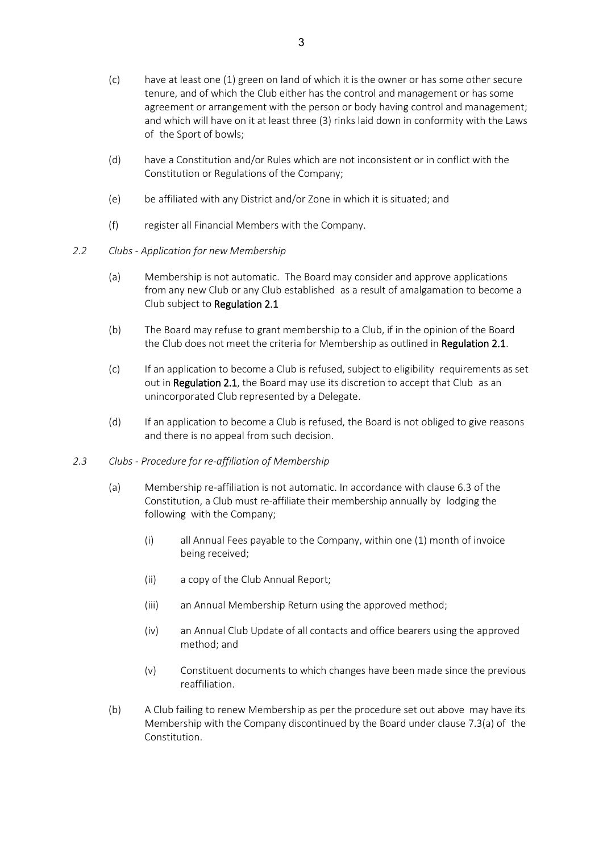- (c) have at least one (1) green on land of which it is the owner or has some other secure tenure, and of which the Club either has the control and management or has some agreement or arrangement with the person or body having control and management; and which will have on it at least three (3) rinks laid down in conformity with the Laws of the Sport of bowls;
- (d) have a Constitution and/or Rules which are not inconsistent or in conflict with the Constitution or Regulations of the Company;
- (e) be affiliated with any District and/or Zone in which it is situated; and
- (f) register all Financial Members with the Company.
- *2.2 Clubs - Application for new Membership*
	- (a) Membership is not automatic. The Board may consider and approve applications from any new Club or any Club established as a result of amalgamation to become a Club subject to Regulation 2.1
	- (b) The Board may refuse to grant membership to a Club, if in the opinion of the Board the Club does not meet the criteria for Membership as outlined in Regulation 2.1.
	- (c) If an application to become a Club is refused, subject to eligibility requirements as set out in Regulation 2.1, the Board may use its discretion to accept that Club as an unincorporated Club represented by a Delegate.
	- (d) If an application to become a Club is refused, the Board is not obliged to give reasons and there is no appeal from such decision.
- *2.3 Clubs - Procedure for re-affiliation of Membership* 
	- (a) Membership re-affiliation is not automatic. In accordance with clause 6.3 of the Constitution, a Club must re-affiliate their membership annually by lodging the following with the Company;
		- (i) all Annual Fees payable to the Company, within one (1) month of invoice being received;
		- (ii) a copy of the Club Annual Report;
		- (iii) an Annual Membership Return using the approved method;
		- (iv) an Annual Club Update of all contacts and office bearers using the approved method; and
		- (v) Constituent documents to which changes have been made since the previous reaffiliation.
	- (b) A Club failing to renew Membership as per the procedure set out above may have its Membership with the Company discontinued by the Board under clause 7.3(a) of the Constitution.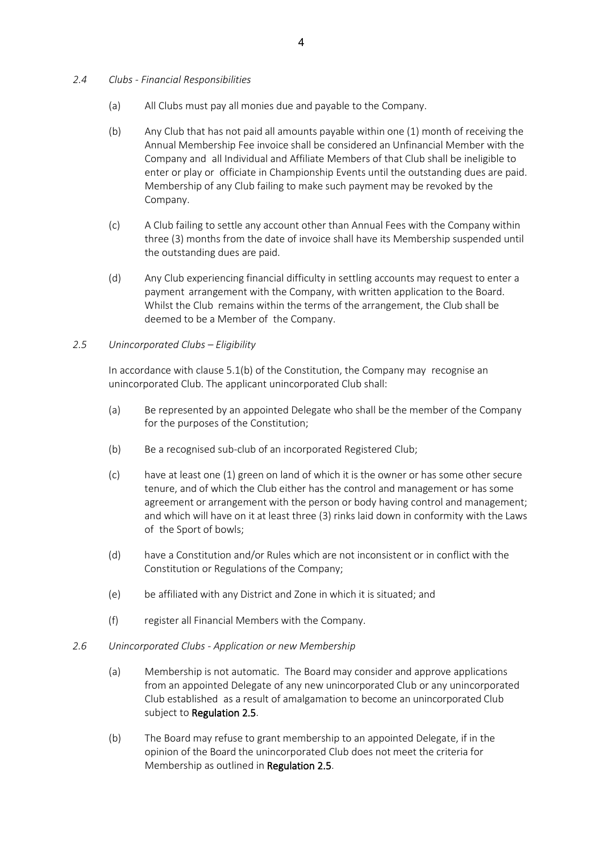- *2.4 Clubs - Financial Responsibilities* 
	- (a) All Clubs must pay all monies due and payable to the Company.
	- (b) Any Club that has not paid all amounts payable within one (1) month of receiving the Annual Membership Fee invoice shall be considered an Unfinancial Member with the Company and all Individual and Affiliate Members of that Club shall be ineligible to enter or play or officiate in Championship Events until the outstanding dues are paid. Membership of any Club failing to make such payment may be revoked by the Company.
	- (c) A Club failing to settle any account other than Annual Fees with the Company within three (3) months from the date of invoice shall have its Membership suspended until the outstanding dues are paid.
	- (d) Any Club experiencing financial difficulty in settling accounts may request to enter a payment arrangement with the Company, with written application to the Board. Whilst the Club remains within the terms of the arrangement, the Club shall be deemed to be a Member of the Company.

#### *2.5 Unincorporated Clubs – Eligibility*

In accordance with clause 5.1(b) of the Constitution, the Company may recognise an unincorporated Club. The applicant unincorporated Club shall:

- (a) Be represented by an appointed Delegate who shall be the member of the Company for the purposes of the Constitution;
- (b) Be a recognised sub-club of an incorporated Registered Club;
- (c) have at least one (1) green on land of which it is the owner or has some other secure tenure, and of which the Club either has the control and management or has some agreement or arrangement with the person or body having control and management; and which will have on it at least three (3) rinks laid down in conformity with the Laws of the Sport of bowls;
- (d) have a Constitution and/or Rules which are not inconsistent or in conflict with the Constitution or Regulations of the Company;
- (e) be affiliated with any District and Zone in which it is situated; and
- (f) register all Financial Members with the Company.
- *2.6 Unincorporated Clubs - Application or new Membership* 
	- (a) Membership is not automatic. The Board may consider and approve applications from an appointed Delegate of any new unincorporated Club or any unincorporated Club established as a result of amalgamation to become an unincorporated Club subject to Regulation 2.5.
	- (b) The Board may refuse to grant membership to an appointed Delegate, if in the opinion of the Board the unincorporated Club does not meet the criteria for Membership as outlined in Regulation 2.5.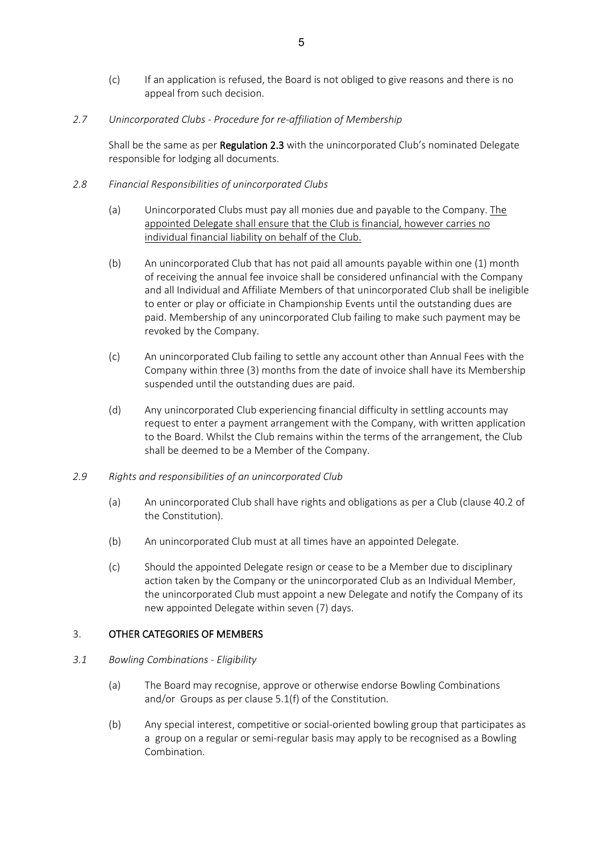- (c) If an application is refused, the Board is not obliged to give reasons and there is no appeal from such decision.
- *2.7 Unincorporated Clubs - Procedure for re-affiliation of Membership*

Shall be the same as per Regulation 2.3 with the unincorporated Club's nominated Delegate responsible for lodging all documents.

- *2.8 Financial Responsibilities of unincorporated Clubs*
	- (a) Unincorporated Clubs must pay all monies due and payable to the Company. The appointed Delegate shall ensure that the Club is financial, however carries no individual financial liability on behalf of the Club.
	- (b) An unincorporated Club that has not paid all amounts payable within one (1) month of receiving the annual fee invoice shall be considered unfinancial with the Company and all Individual and Affiliate Members of that unincorporated Club shall be ineligible to enter or play or officiate in Championship Events until the outstanding dues are paid. Membership of any unincorporated Club failing to make such payment may be revoked by the Company.
	- (c) An unincorporated Club failing to settle any account other than Annual Fees with the Company within three (3) months from the date of invoice shall have its Membership suspended until the outstanding dues are paid.
	- (d) Any unincorporated Club experiencing financial difficulty in settling accounts may request to enter a payment arrangement with the Company, with written application to the Board. Whilst the Club remains within the terms of the arrangement, the Club shall be deemed to be a Member of the Company.
- *2.9 Rights and responsibilities of an unincorporated Club*
	- (a) An unincorporated Club shall have rights and obligations as per a Club (clause 40.2 of the Constitution).
	- (b) An unincorporated Club must at all times have an appointed Delegate.
	- (c) Should the appointed Delegate resign or cease to be a Member due to disciplinary action taken by the Company or the unincorporated Club as an Individual Member, the unincorporated Club must appoint a new Delegate and notify the Company of its new appointed Delegate within seven (7) days.

#### 3. OTHER CATEGORIES OF MEMBERS

- *3.1 Bowling Combinations - Eligibility*
	- (a) The Board may recognise, approve or otherwise endorse Bowling Combinations and/or Groups as per clause 5.1(f) of the Constitution.
	- (b) Any special interest, competitive or social-oriented bowling group that participates as a group on a regular or semi-regular basis may apply to be recognised as a Bowling Combination.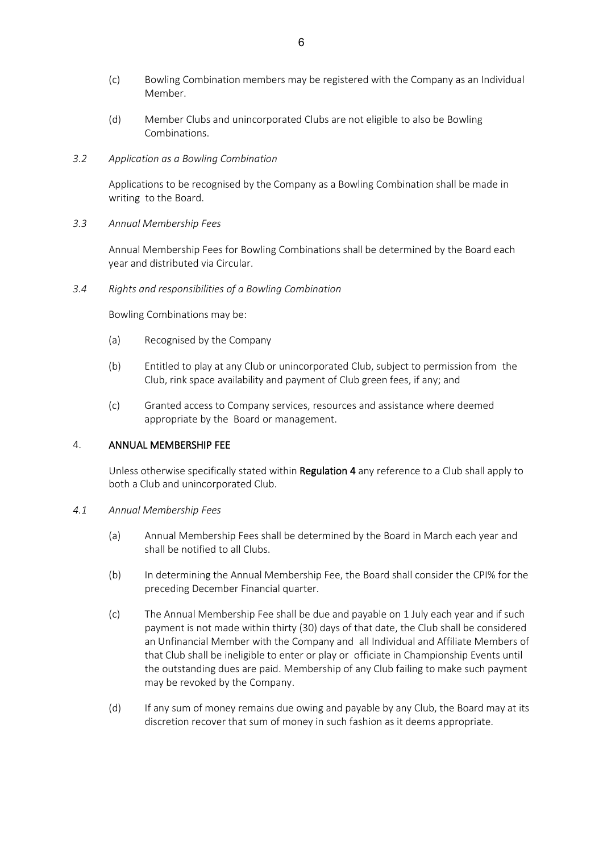- (c) Bowling Combination members may be registered with the Company as an Individual Member.
- (d) Member Clubs and unincorporated Clubs are not eligible to also be Bowling Combinations.
- *3.2 Application as a Bowling Combination*

Applications to be recognised by the Company as a Bowling Combination shall be made in writing to the Board.

*3.3 Annual Membership Fees*

Annual Membership Fees for Bowling Combinations shall be determined by the Board each year and distributed via Circular.

*3.4 Rights and responsibilities of a Bowling Combination*

Bowling Combinations may be:

- (a) Recognised by the Company
- (b) Entitled to play at any Club or unincorporated Club, subject to permission from the Club, rink space availability and payment of Club green fees, if any; and
- (c) Granted access to Company services, resources and assistance where deemed appropriate by the Board or management.

#### 4. ANNUAL MEMBERSHIP FEE

Unless otherwise specifically stated within Regulation 4 any reference to a Club shall apply to both a Club and unincorporated Club.

#### *4.1 Annual Membership Fees*

- (a) Annual Membership Fees shall be determined by the Board in March each year and shall be notified to all Clubs.
- (b) In determining the Annual Membership Fee, the Board shall consider the CPI% for the preceding December Financial quarter.
- (c) The Annual Membership Fee shall be due and payable on 1 July each year and if such payment is not made within thirty (30) days of that date, the Club shall be considered an Unfinancial Member with the Company and all Individual and Affiliate Members of that Club shall be ineligible to enter or play or officiate in Championship Events until the outstanding dues are paid. Membership of any Club failing to make such payment may be revoked by the Company.
- (d) If any sum of money remains due owing and payable by any Club, the Board may at its discretion recover that sum of money in such fashion as it deems appropriate.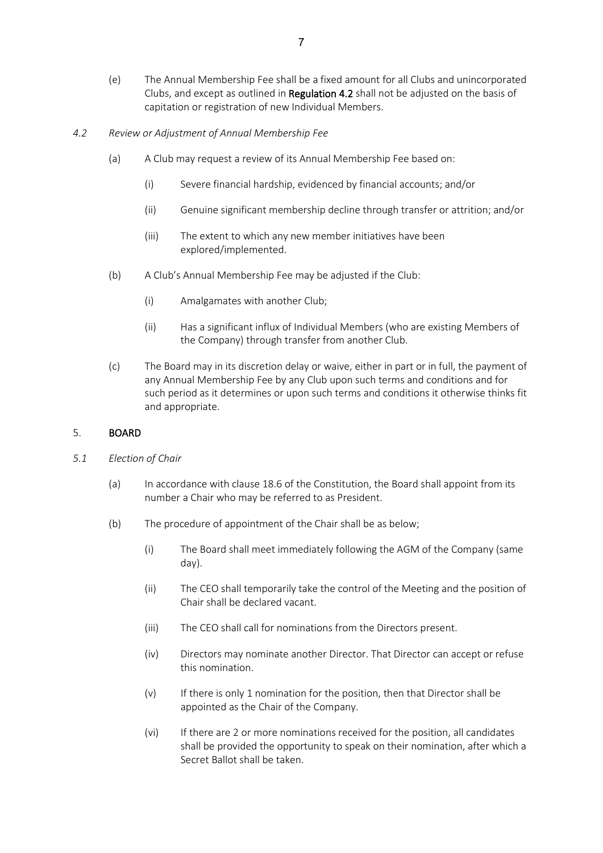- (e) The Annual Membership Fee shall be a fixed amount for all Clubs and unincorporated Clubs, and except as outlined in Regulation 4.2 shall not be adjusted on the basis of capitation or registration of new Individual Members.
- *4.2 Review or Adjustment of Annual Membership Fee* 
	- (a) A Club may request a review of its Annual Membership Fee based on:
		- (i) Severe financial hardship, evidenced by financial accounts; and/or
		- (ii) Genuine significant membership decline through transfer or attrition; and/or
		- (iii) The extent to which any new member initiatives have been explored/implemented.
	- (b) A Club's Annual Membership Fee may be adjusted if the Club:
		- (i) Amalgamates with another Club;
		- (ii) Has a significant influx of Individual Members (who are existing Members of the Company) through transfer from another Club.
	- (c) The Board may in its discretion delay or waive, either in part or in full, the payment of any Annual Membership Fee by any Club upon such terms and conditions and for such period as it determines or upon such terms and conditions it otherwise thinks fit and appropriate.

#### 5. BOARD

- *5.1 Election of Chair*
	- (a) In accordance with clause 18.6 of the Constitution, the Board shall appoint from its number a Chair who may be referred to as President.
	- (b) The procedure of appointment of the Chair shall be as below;
		- (i) The Board shall meet immediately following the AGM of the Company (same day).
		- (ii) The CEO shall temporarily take the control of the Meeting and the position of Chair shall be declared vacant.
		- (iii) The CEO shall call for nominations from the Directors present.
		- (iv) Directors may nominate another Director. That Director can accept or refuse this nomination.
		- (v) If there is only 1 nomination for the position, then that Director shall be appointed as the Chair of the Company.
		- (vi) If there are 2 or more nominations received for the position, all candidates shall be provided the opportunity to speak on their nomination, after which a Secret Ballot shall be taken.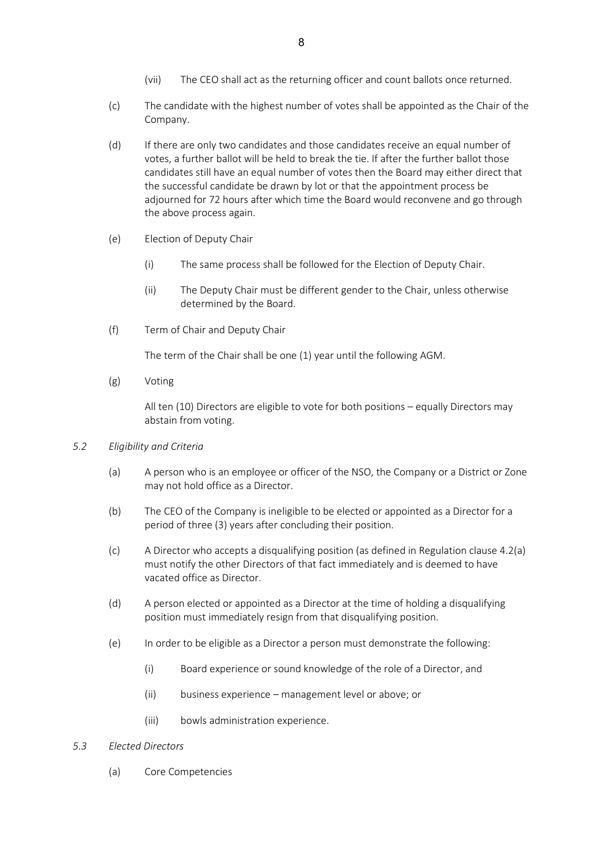- (vii) The CEO shall act as the returning officer and count ballots once returned.
- (c) The candidate with the highest number of votes shall be appointed as the Chair of the Company.
- (d) If there are only two candidates and those candidates receive an equal number of votes, a further ballot will be held to break the tie. If after the further ballot those candidates still have an equal number of votes then the Board may either direct that the successful candidate be drawn by lot or that the appointment process be adjourned for 72 hours after which time the Board would reconvene and go through the above process again.
- (e) Election of Deputy Chair
	- (i) The same process shall be followed for the Election of Deputy Chair.
	- (ii) The Deputy Chair must be different gender to the Chair, unless otherwise determined by the Board.
- (f) Term of Chair and Deputy Chair

The term of the Chair shall be one (1) year until the following AGM.

(g) Voting

All ten (10) Directors are eligible to vote for both positions – equally Directors may abstain from voting.

- *5.2 Eligibility and Criteria*
	- (a) A person who is an employee or officer of the NSO, the Company or a District or Zone may not hold office as a Director.
	- (b) The CEO of the Company is ineligible to be elected or appointed as a Director for a period of three (3) years after concluding their position.
	- (c) A Director who accepts a disqualifying position (as defined in Regulation clause 4.2(a) must notify the other Directors of that fact immediately and is deemed to have vacated office as Director.
	- (d) A person elected or appointed as a Director at the time of holding a disqualifying position must immediately resign from that disqualifying position.
	- (e) In order to be eligible as a Director a person must demonstrate the following:
		- (i) Board experience or sound knowledge of the role of a Director, and
		- (ii) business experience management level or above; or
		- (iii) bowls administration experience.
- *5.3 Elected Directors*
	- (a) Core Competencies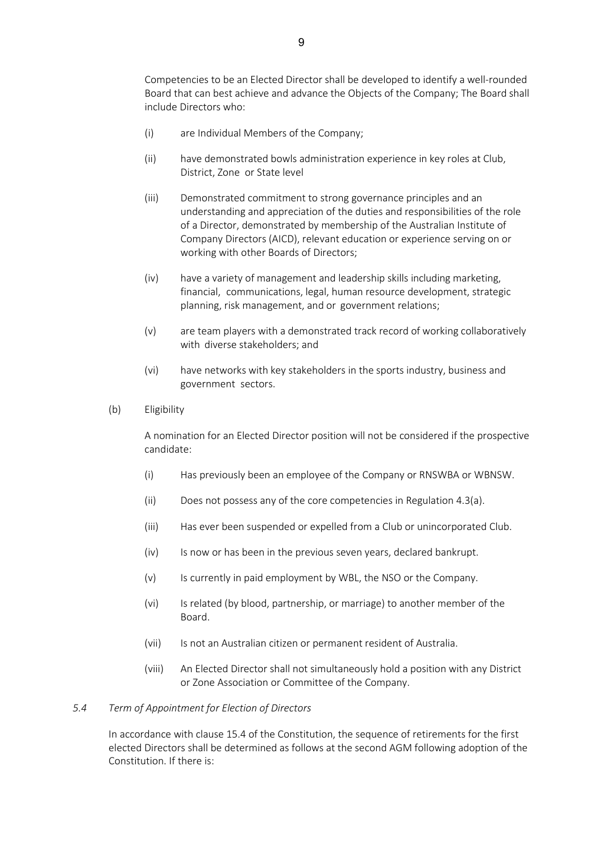Competencies to be an Elected Director shall be developed to identify a well-rounded Board that can best achieve and advance the Objects of the Company; The Board shall include Directors who:

- (i) are Individual Members of the Company;
- (ii) have demonstrated bowls administration experience in key roles at Club, District, Zone or State level
- (iii) Demonstrated commitment to strong governance principles and an understanding and appreciation of the duties and responsibilities of the role of a Director, demonstrated by membership of the Australian Institute of Company Directors (AICD), relevant education or experience serving on or working with other Boards of Directors;
- (iv) have a variety of management and leadership skills including marketing, financial, communications, legal, human resource development, strategic planning, risk management, and or government relations;
- (v) are team players with a demonstrated track record of working collaboratively with diverse stakeholders; and
- (vi) have networks with key stakeholders in the sports industry, business and government sectors.
- (b) Eligibility

A nomination for an Elected Director position will not be considered if the prospective candidate:

- (i) Has previously been an employee of the Company or RNSWBA or WBNSW.
- (ii) Does not possess any of the core competencies in Regulation 4.3(a).
- (iii) Has ever been suspended or expelled from a Club or unincorporated Club.
- (iv) Is now or has been in the previous seven years, declared bankrupt.
- (v) Is currently in paid employment by WBL, the NSO or the Company.
- (vi) Is related (by blood, partnership, or marriage) to another member of the Board.
- (vii) Is not an Australian citizen or permanent resident of Australia.
- (viii) An Elected Director shall not simultaneously hold a position with any District or Zone Association or Committee of the Company.

#### *5.4 Term of Appointment for Election of Directors*

In accordance with clause 15.4 of the Constitution, the sequence of retirements for the first elected Directors shall be determined as follows at the second AGM following adoption of the Constitution. If there is: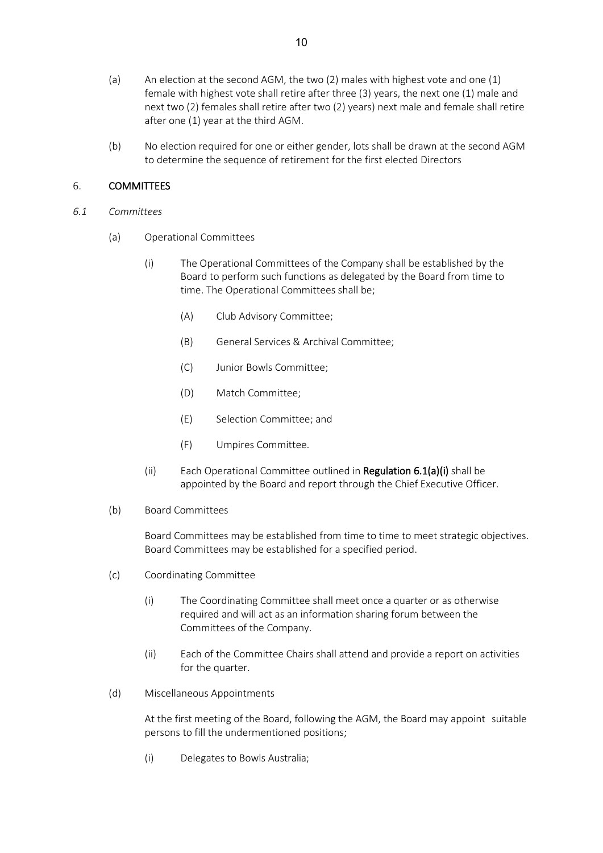- (a) An election at the second AGM, the two (2) males with highest vote and one (1) female with highest vote shall retire after three (3) years, the next one (1) male and next two (2) females shall retire after two (2) years) next male and female shall retire after one (1) year at the third AGM.
- (b) No election required for one or either gender, lots shall be drawn at the second AGM to determine the sequence of retirement for the first elected Directors

#### 6. COMMITTEES

- *6.1 Committees*
	- (a) Operational Committees
		- (i) The Operational Committees of the Company shall be established by the Board to perform such functions as delegated by the Board from time to time. The Operational Committees shall be;
			- (A) Club Advisory Committee;
			- (B) General Services & Archival Committee;
			- (C) Junior Bowls Committee;
			- (D) Match Committee;
			- (E) Selection Committee; and
			- (F) Umpires Committee.
		- (ii) Each Operational Committee outlined in Regulation 6.1(a)(i) shall be appointed by the Board and report through the Chief Executive Officer.
	- (b) Board Committees

Board Committees may be established from time to time to meet strategic objectives. Board Committees may be established for a specified period.

- (c) Coordinating Committee
	- (i) The Coordinating Committee shall meet once a quarter or as otherwise required and will act as an information sharing forum between the Committees of the Company.
	- (ii) Each of the Committee Chairs shall attend and provide a report on activities for the quarter.
- (d) Miscellaneous Appointments

At the first meeting of the Board, following the AGM, the Board may appoint suitable persons to fill the undermentioned positions;

(i) Delegates to Bowls Australia;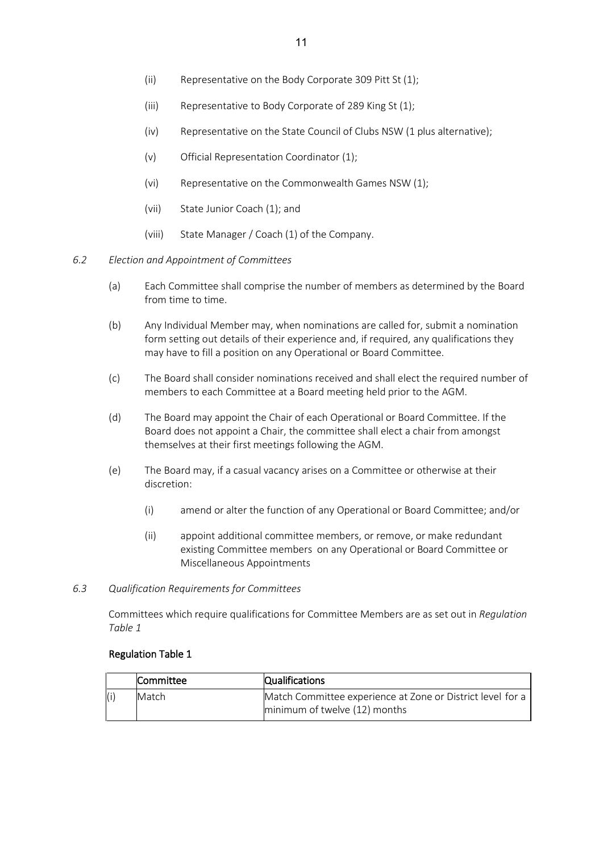- (ii) Representative on the Body Corporate 309 Pitt St (1);
- (iii) Representative to Body Corporate of 289 King St (1);
- (iv) Representative on the State Council of Clubs NSW (1 plus alternative);
- (v) Official Representation Coordinator (1);
- (vi) Representative on the Commonwealth Games NSW (1);
- (vii) State Junior Coach (1); and
- (viii) State Manager / Coach (1) of the Company.
- *6.2 Election and Appointment of Committees*
	- (a) Each Committee shall comprise the number of members as determined by the Board from time to time.
	- (b) Any Individual Member may, when nominations are called for, submit a nomination form setting out details of their experience and, if required, any qualifications they may have to fill a position on any Operational or Board Committee.
	- (c) The Board shall consider nominations received and shall elect the required number of members to each Committee at a Board meeting held prior to the AGM.
	- (d) The Board may appoint the Chair of each Operational or Board Committee. If the Board does not appoint a Chair, the committee shall elect a chair from amongst themselves at their first meetings following the AGM.
	- (e) The Board may, if a casual vacancy arises on a Committee or otherwise at their discretion:
		- (i) amend or alter the function of any Operational or Board Committee; and/or
		- (ii) appoint additional committee members, or remove, or make redundant existing Committee members on any Operational or Board Committee or Miscellaneous Appointments
- *6.3 Qualification Requirements for Committees*

Committees which require qualifications for Committee Members are as set out in *Regulation Table 1*

#### Regulation Table 1

|     | Committee    | <b>Qualifications</b>                                      |
|-----|--------------|------------------------------------------------------------|
| (i) | <b>Match</b> | Match Committee experience at Zone or District level for a |
|     |              | minimum of twelve (12) months                              |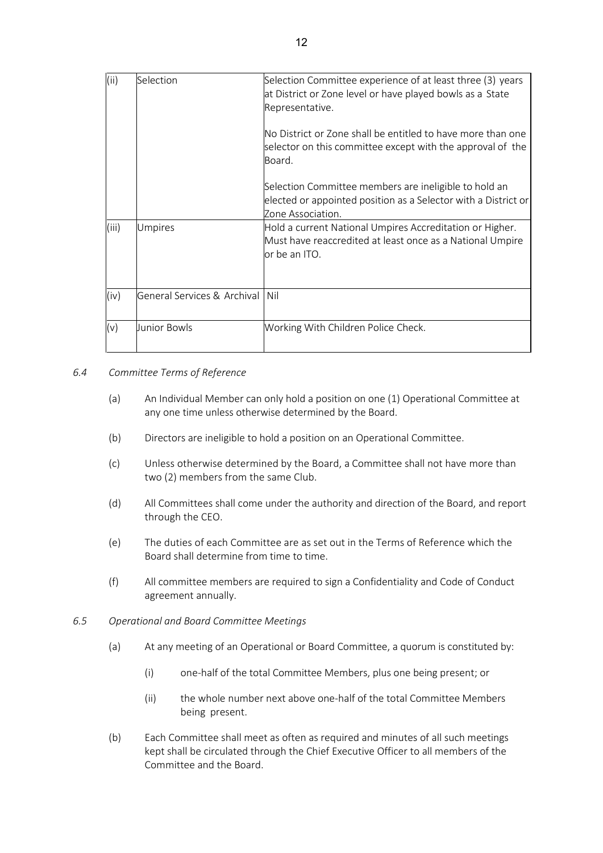| (ii)  | Selection                         | Selection Committee experience of at least three (3) years<br>at District or Zone level or have played bowls as a State<br>Representative.   |
|-------|-----------------------------------|----------------------------------------------------------------------------------------------------------------------------------------------|
|       |                                   | No District or Zone shall be entitled to have more than one<br>selector on this committee except with the approval of the<br>Board.          |
|       |                                   | Selection Committee members are ineligible to hold an<br>elected or appointed position as a Selector with a District or<br>Zone Association. |
| (iii) | <b>Umpires</b>                    | Hold a current National Umpires Accreditation or Higher.<br>Must have reaccredited at least once as a National Umpire<br>or be an ITO.       |
| (iv)  | General Services & Archival   Nil |                                                                                                                                              |
| (v)   | Uunior Bowls                      | Working With Children Police Check.                                                                                                          |

#### *6.4 Committee Terms of Reference*

- (a) An Individual Member can only hold a position on one (1) Operational Committee at any one time unless otherwise determined by the Board.
- (b) Directors are ineligible to hold a position on an Operational Committee.
- (c) Unless otherwise determined by the Board, a Committee shall not have more than two (2) members from the same Club.
- (d) All Committees shall come under the authority and direction of the Board, and report through the CEO.
- (e) The duties of each Committee are as set out in the Terms of Reference which the Board shall determine from time to time.
- (f) All committee members are required to sign a Confidentiality and Code of Conduct agreement annually.
- *6.5 Operational and Board Committee Meetings*
	- (a) At any meeting of an Operational or Board Committee, a quorum is constituted by:
		- (i) one-half of the total Committee Members, plus one being present; or
		- (ii) the whole number next above one-half of the total Committee Members being present.
	- (b) Each Committee shall meet as often as required and minutes of all such meetings kept shall be circulated through the Chief Executive Officer to all members of the Committee and the Board.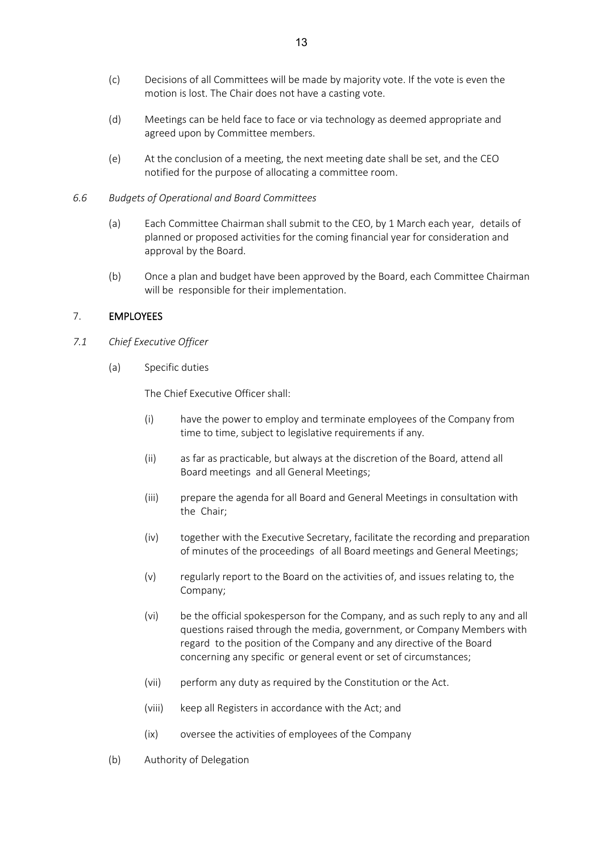- (c) Decisions of all Committees will be made by majority vote. If the vote is even the motion is lost. The Chair does not have a casting vote.
- (d) Meetings can be held face to face or via technology as deemed appropriate and agreed upon by Committee members.
- (e) At the conclusion of a meeting, the next meeting date shall be set, and the CEO notified for the purpose of allocating a committee room.
- *6.6 Budgets of Operational and Board Committees*
	- (a) Each Committee Chairman shall submit to the CEO, by 1 March each year, details of planned or proposed activities for the coming financial year for consideration and approval by the Board.
	- (b) Once a plan and budget have been approved by the Board, each Committee Chairman will be responsible for their implementation.

#### 7. EMPLOYEES

- *7.1 Chief Executive Officer*
	- (a) Specific duties

The Chief Executive Officer shall:

- (i) have the power to employ and terminate employees of the Company from time to time, subject to legislative requirements if any.
- (ii) as far as practicable, but always at the discretion of the Board, attend all Board meetings and all General Meetings;
- (iii) prepare the agenda for all Board and General Meetings in consultation with the Chair;
- (iv) together with the Executive Secretary, facilitate the recording and preparation of minutes of the proceedings of all Board meetings and General Meetings;
- (v) regularly report to the Board on the activities of, and issues relating to, the Company;
- (vi) be the official spokesperson for the Company, and as such reply to any and all questions raised through the media, government, or Company Members with regard to the position of the Company and any directive of the Board concerning any specific or general event or set of circumstances;
- (vii) perform any duty as required by the Constitution or the Act.
- (viii) keep all Registers in accordance with the Act; and
- (ix) oversee the activities of employees of the Company
- (b) Authority of Delegation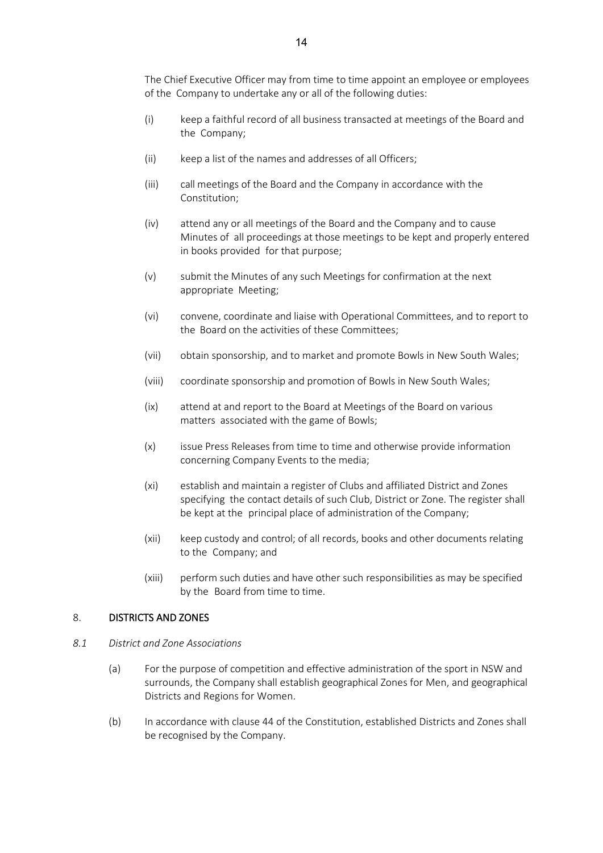The Chief Executive Officer may from time to time appoint an employee or employees of the Company to undertake any or all of the following duties:

- (i) keep a faithful record of all business transacted at meetings of the Board and the Company;
- (ii) keep a list of the names and addresses of all Officers;
- (iii) call meetings of the Board and the Company in accordance with the Constitution;
- (iv) attend any or all meetings of the Board and the Company and to cause Minutes of all proceedings at those meetings to be kept and properly entered in books provided for that purpose;
- (v) submit the Minutes of any such Meetings for confirmation at the next appropriate Meeting;
- (vi) convene, coordinate and liaise with Operational Committees, and to report to the Board on the activities of these Committees;
- (vii) obtain sponsorship, and to market and promote Bowls in New South Wales;
- (viii) coordinate sponsorship and promotion of Bowls in New South Wales;
- (ix) attend at and report to the Board at Meetings of the Board on various matters associated with the game of Bowls;
- (x) issue Press Releases from time to time and otherwise provide information concerning Company Events to the media;
- (xi) establish and maintain a register of Clubs and affiliated District and Zones specifying the contact details of such Club, District or Zone. The register shall be kept at the principal place of administration of the Company;
- (xii) keep custody and control; of all records, books and other documents relating to the Company; and
- (xiii) perform such duties and have other such responsibilities as may be specified by the Board from time to time.

#### 8. DISTRICTS AND ZONES

#### *8.1 District and Zone Associations*

- (a) For the purpose of competition and effective administration of the sport in NSW and surrounds, the Company shall establish geographical Zones for Men, and geographical Districts and Regions for Women.
- (b) In accordance with clause 44 of the Constitution, established Districts and Zones shall be recognised by the Company.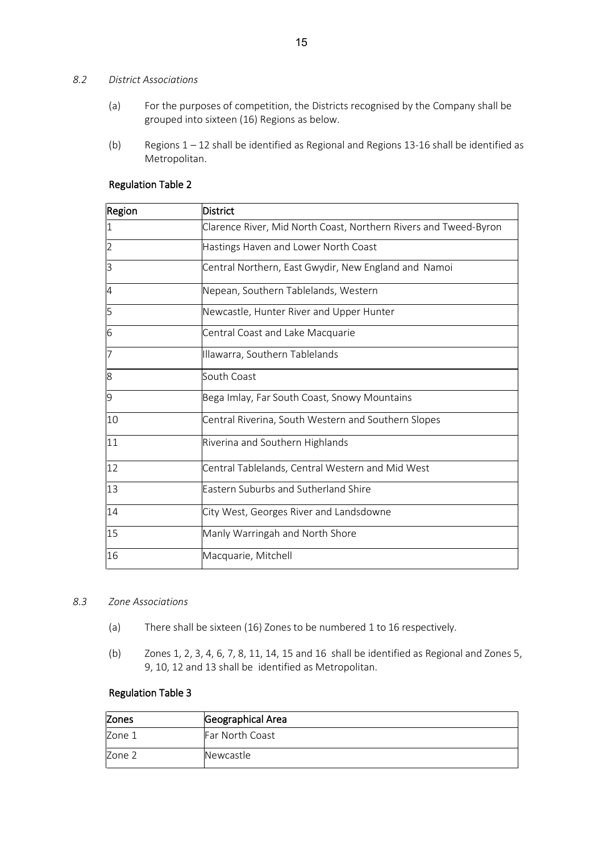#### *8.2 District Associations*

- (a) For the purposes of competition, the Districts recognised by the Company shall be grouped into sixteen (16) Regions as below.
- (b) Regions 1 12 shall be identified as Regional and Regions 13-16 shall be identified as Metropolitan.

| Region         | <b>District</b>                                                  |
|----------------|------------------------------------------------------------------|
| 1              | Clarence River, Mid North Coast, Northern Rivers and Tweed-Byron |
| $\overline{2}$ | Hastings Haven and Lower North Coast                             |
| 3              | Central Northern, East Gwydir, New England and Namoi             |
| $\overline{A}$ | Nepean, Southern Tablelands, Western                             |
| 5              | Newcastle, Hunter River and Upper Hunter                         |
| 6              | Central Coast and Lake Macquarie                                 |
| 17             | Illawarra, Southern Tablelands                                   |
| 8              | South Coast                                                      |
| 9              | Bega Imlay, Far South Coast, Snowy Mountains                     |
| 10             | Central Riverina, South Western and Southern Slopes              |
| 11             | Riverina and Southern Highlands                                  |
| 12             | Central Tablelands, Central Western and Mid West                 |
| 13             | <b>Eastern Suburbs and Sutherland Shire</b>                      |
| 14             | City West, Georges River and Landsdowne                          |
| 15             | Manly Warringah and North Shore                                  |
| 16             | Macquarie, Mitchell                                              |

#### Regulation Table 2

#### *8.3 Zone Associations*

- (a) There shall be sixteen (16) Zones to be numbered 1 to 16 respectively.
- (b) Zones 1, 2, 3, 4, 6, 7, 8, 11, 14, 15 and 16 shall be identified as Regional and Zones 5, 9, 10, 12 and 13 shall be identified as Metropolitan.

#### Regulation Table 3

| <b>Zones</b> | Geographical Area |
|--------------|-------------------|
| Zone 1       | Far North Coast   |
| Zone 2       | Newcastle         |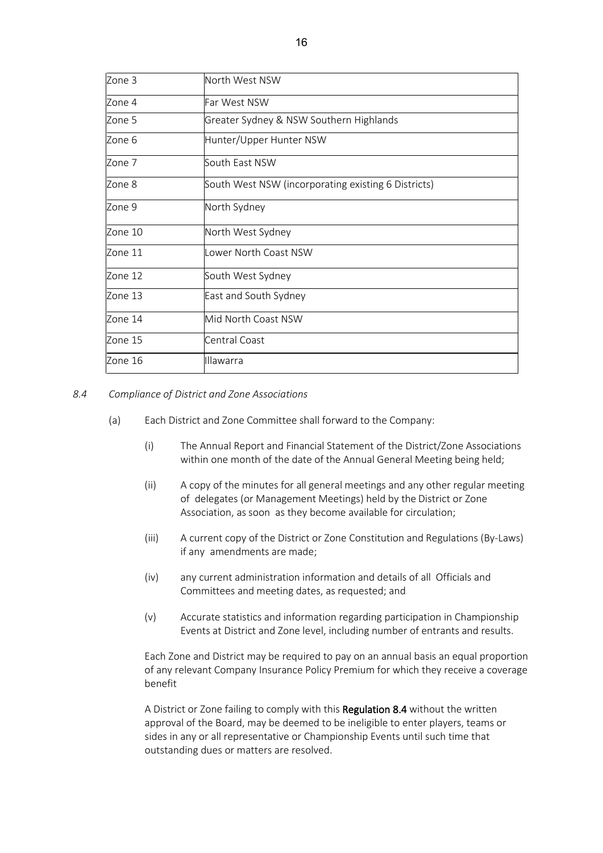| Zone 3  | North West NSW                                      |
|---------|-----------------------------------------------------|
| Zone 4  | Far West NSW                                        |
| Zone 5  | Greater Sydney & NSW Southern Highlands             |
| Zone 6  | Hunter/Upper Hunter NSW                             |
| Zone 7  | South East NSW                                      |
| Zone 8  | South West NSW (incorporating existing 6 Districts) |
| Zone 9  | North Sydney                                        |
| Zone 10 | North West Sydney                                   |
| Zone 11 | Lower North Coast NSW                               |
| Zone 12 | South West Sydney                                   |
| Zone 13 | East and South Sydney                               |
| Zone 14 | Mid North Coast NSW                                 |
| Zone 15 | Central Coast                                       |
| Zone 16 | <b>Illawarra</b>                                    |

#### *8.4 Compliance of District and Zone Associations*

- (a) Each District and Zone Committee shall forward to the Company:
	- (i) The Annual Report and Financial Statement of the District/Zone Associations within one month of the date of the Annual General Meeting being held;
	- (ii) A copy of the minutes for all general meetings and any other regular meeting of delegates (or Management Meetings) held by the District or Zone Association, as soon as they become available for circulation;
	- (iii) A current copy of the District or Zone Constitution and Regulations (By-Laws) if any amendments are made;
	- (iv) any current administration information and details of all Officials and Committees and meeting dates, as requested; and
	- (v) Accurate statistics and information regarding participation in Championship Events at District and Zone level, including number of entrants and results.

Each Zone and District may be required to pay on an annual basis an equal proportion of any relevant Company Insurance Policy Premium for which they receive a coverage benefit

A District or Zone failing to comply with this Regulation 8.4 without the written approval of the Board, may be deemed to be ineligible to enter players, teams or sides in any or all representative or Championship Events until such time that outstanding dues or matters are resolved.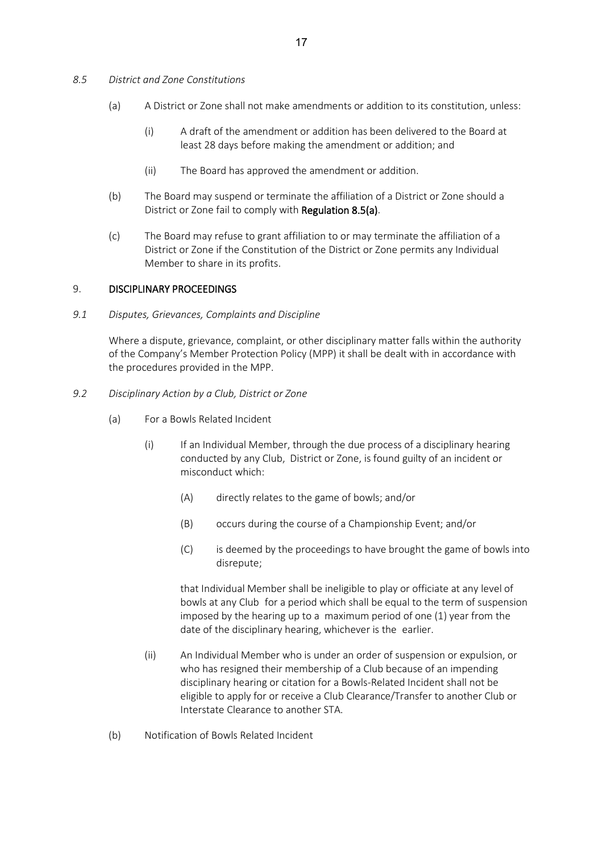- *8.5 District and Zone Constitutions*
	- (a) A District or Zone shall not make amendments or addition to its constitution, unless:
		- (i) A draft of the amendment or addition has been delivered to the Board at least 28 days before making the amendment or addition; and
		- (ii) The Board has approved the amendment or addition.
	- (b) The Board may suspend or terminate the affiliation of a District or Zone should a District or Zone fail to comply with Regulation 8.5(a).
	- (c) The Board may refuse to grant affiliation to or may terminate the affiliation of a District or Zone if the Constitution of the District or Zone permits any Individual Member to share in its profits.

#### 9. DISCIPLINARY PROCEEDINGS

*9.1 Disputes, Grievances, Complaints and Discipline*

Where a dispute, grievance, complaint, or other disciplinary matter falls within the authority of the Company's Member Protection Policy (MPP) it shall be dealt with in accordance with the procedures provided in the MPP.

- *9.2 Disciplinary Action by a Club, District or Zone*
	- (a) For a Bowls Related Incident
		- (i) If an Individual Member, through the due process of a disciplinary hearing conducted by any Club, District or Zone, is found guilty of an incident or misconduct which:
			- (A) directly relates to the game of bowls; and/or
			- (B) occurs during the course of a Championship Event; and/or
			- (C) is deemed by the proceedings to have brought the game of bowls into disrepute;

that Individual Member shall be ineligible to play or officiate at any level of bowls at any Club for a period which shall be equal to the term of suspension imposed by the hearing up to a maximum period of one (1) year from the date of the disciplinary hearing, whichever is the earlier.

- (ii) An Individual Member who is under an order of suspension or expulsion, or who has resigned their membership of a Club because of an impending disciplinary hearing or citation for a Bowls-Related Incident shall not be eligible to apply for or receive a Club Clearance/Transfer to another Club or Interstate Clearance to another STA.
- (b) Notification of Bowls Related Incident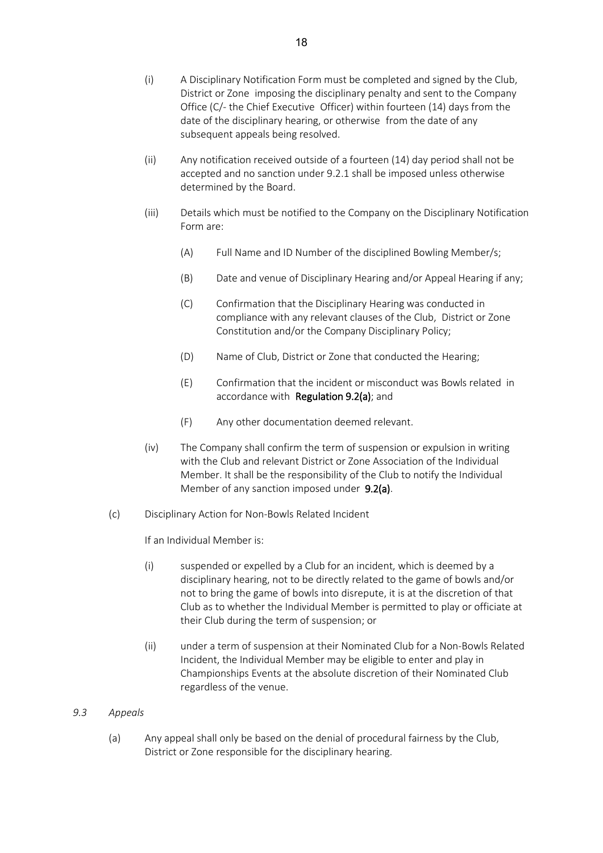- (i) A Disciplinary Notification Form must be completed and signed by the Club, District or Zone imposing the disciplinary penalty and sent to the Company Office (C/- the Chief Executive Officer) within fourteen (14) days from the date of the disciplinary hearing, or otherwise from the date of any subsequent appeals being resolved.
- (ii) Any notification received outside of a fourteen (14) day period shall not be accepted and no sanction under 9.2.1 shall be imposed unless otherwise determined by the Board.
- (iii) Details which must be notified to the Company on the Disciplinary Notification Form are:
	- (A) Full Name and ID Number of the disciplined Bowling Member/s;
	- (B) Date and venue of Disciplinary Hearing and/or Appeal Hearing if any;
	- (C) Confirmation that the Disciplinary Hearing was conducted in compliance with any relevant clauses of the Club, District or Zone Constitution and/or the Company Disciplinary Policy;
	- (D) Name of Club, District or Zone that conducted the Hearing;
	- (E) Confirmation that the incident or misconduct was Bowls related in accordance with Regulation 9.2(a); and
	- (F) Any other documentation deemed relevant.
- (iv) The Company shall confirm the term of suspension or expulsion in writing with the Club and relevant District or Zone Association of the Individual Member. It shall be the responsibility of the Club to notify the Individual Member of any sanction imposed under 9.2(a).
- (c) Disciplinary Action for Non-Bowls Related Incident

If an Individual Member is:

- (i) suspended or expelled by a Club for an incident, which is deemed by a disciplinary hearing, not to be directly related to the game of bowls and/or not to bring the game of bowls into disrepute, it is at the discretion of that Club as to whether the Individual Member is permitted to play or officiate at their Club during the term of suspension; or
- (ii) under a term of suspension at their Nominated Club for a Non-Bowls Related Incident, the Individual Member may be eligible to enter and play in Championships Events at the absolute discretion of their Nominated Club regardless of the venue.

#### *9.3 Appeals*

(a) Any appeal shall only be based on the denial of procedural fairness by the Club, District or Zone responsible for the disciplinary hearing.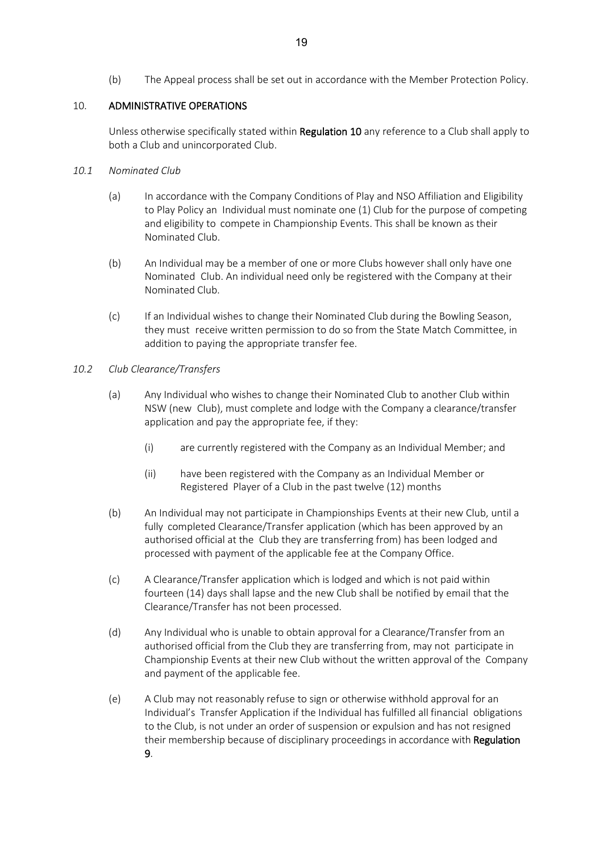(b) The Appeal process shall be set out in accordance with the Member Protection Policy.

#### 10. ADMINISTRATIVE OPERATIONS

Unless otherwise specifically stated within Regulation 10 any reference to a Club shall apply to both a Club and unincorporated Club.

#### *10.1 Nominated Club*

- (a) In accordance with the Company Conditions of Play and NSO Affiliation and Eligibility to Play Policy an Individual must nominate one (1) Club for the purpose of competing and eligibility to compete in Championship Events. This shall be known as their Nominated Club.
- (b) An Individual may be a member of one or more Clubs however shall only have one Nominated Club. An individual need only be registered with the Company at their Nominated Club.
- (c) If an Individual wishes to change their Nominated Club during the Bowling Season, they must receive written permission to do so from the State Match Committee, in addition to paying the appropriate transfer fee.

#### *10.2 Club Clearance/Transfers*

- (a) Any Individual who wishes to change their Nominated Club to another Club within NSW (new Club), must complete and lodge with the Company a clearance/transfer application and pay the appropriate fee, if they:
	- (i) are currently registered with the Company as an Individual Member; and
	- (ii) have been registered with the Company as an Individual Member or Registered Player of a Club in the past twelve (12) months
- (b) An Individual may not participate in Championships Events at their new Club, until a fully completed Clearance/Transfer application (which has been approved by an authorised official at the Club they are transferring from) has been lodged and processed with payment of the applicable fee at the Company Office.
- (c) A Clearance/Transfer application which is lodged and which is not paid within fourteen (14) days shall lapse and the new Club shall be notified by email that the Clearance/Transfer has not been processed.
- (d) Any Individual who is unable to obtain approval for a Clearance/Transfer from an authorised official from the Club they are transferring from, may not participate in Championship Events at their new Club without the written approval of the Company and payment of the applicable fee.
- (e) A Club may not reasonably refuse to sign or otherwise withhold approval for an Individual's Transfer Application if the Individual has fulfilled all financial obligations to the Club, is not under an order of suspension or expulsion and has not resigned their membership because of disciplinary proceedings in accordance with Regulation 9.